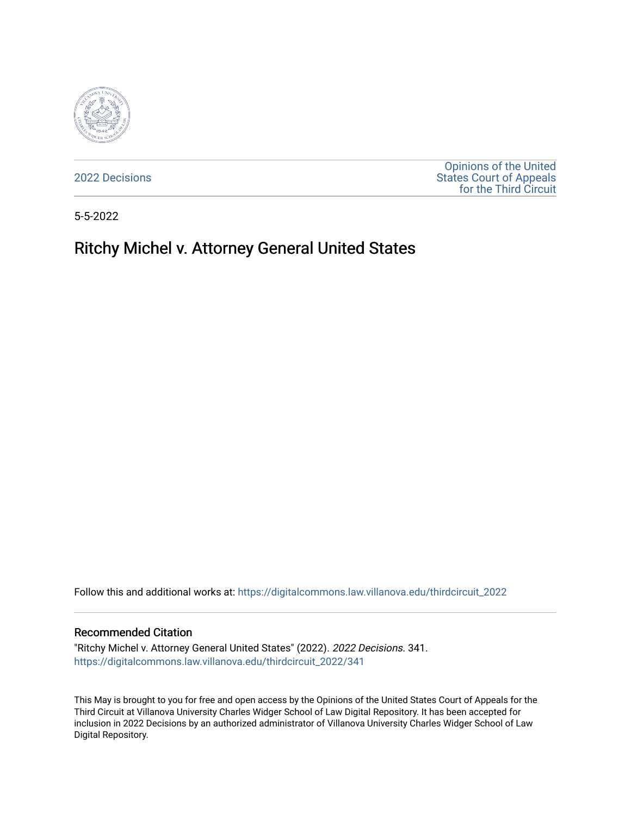

[2022 Decisions](https://digitalcommons.law.villanova.edu/thirdcircuit_2022)

[Opinions of the United](https://digitalcommons.law.villanova.edu/thirdcircuit)  [States Court of Appeals](https://digitalcommons.law.villanova.edu/thirdcircuit)  [for the Third Circuit](https://digitalcommons.law.villanova.edu/thirdcircuit) 

5-5-2022

# Ritchy Michel v. Attorney General United States

Follow this and additional works at: [https://digitalcommons.law.villanova.edu/thirdcircuit\\_2022](https://digitalcommons.law.villanova.edu/thirdcircuit_2022?utm_source=digitalcommons.law.villanova.edu%2Fthirdcircuit_2022%2F341&utm_medium=PDF&utm_campaign=PDFCoverPages) 

#### Recommended Citation

"Ritchy Michel v. Attorney General United States" (2022). 2022 Decisions. 341. [https://digitalcommons.law.villanova.edu/thirdcircuit\\_2022/341](https://digitalcommons.law.villanova.edu/thirdcircuit_2022/341?utm_source=digitalcommons.law.villanova.edu%2Fthirdcircuit_2022%2F341&utm_medium=PDF&utm_campaign=PDFCoverPages)

This May is brought to you for free and open access by the Opinions of the United States Court of Appeals for the Third Circuit at Villanova University Charles Widger School of Law Digital Repository. It has been accepted for inclusion in 2022 Decisions by an authorized administrator of Villanova University Charles Widger School of Law Digital Repository.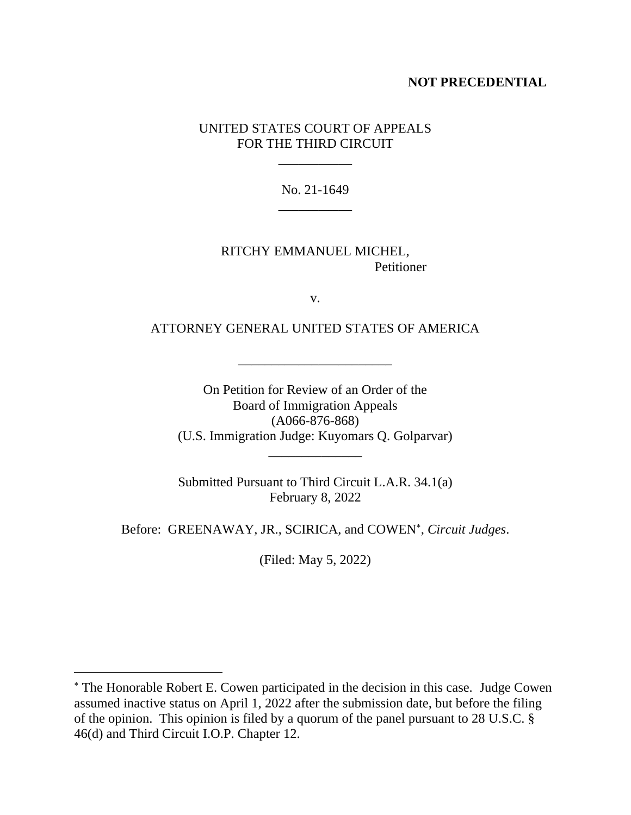## **NOT PRECEDENTIAL**

## UNITED STATES COURT OF APPEALS FOR THE THIRD CIRCUIT

\_\_\_\_\_\_\_\_\_\_\_

No. 21-1649 \_\_\_\_\_\_\_\_\_\_\_

RITCHY EMMANUEL MICHEL, Petitioner

v.

ATTORNEY GENERAL UNITED STATES OF AMERICA

\_\_\_\_\_\_\_\_\_\_\_\_\_\_\_\_\_\_\_\_\_\_\_

On Petition for Review of an Order of the Board of Immigration Appeals (A066-876-868) (U.S. Immigration Judge: Kuyomars Q. Golparvar) \_\_\_\_\_\_\_\_\_\_\_\_\_\_

Submitted Pursuant to Third Circuit L.A.R. 34.1(a) February 8, 2022

Before: GREENAWAY, JR., SCIRICA, and COWEN , *Circuit Judges*.

(Filed: May 5, 2022)

The Honorable Robert E. Cowen participated in the decision in this case. Judge Cowen assumed inactive status on April 1, 2022 after the submission date, but before the filing of the opinion. This opinion is filed by a quorum of the panel pursuant to 28 U.S.C. § 46(d) and Third Circuit I.O.P. Chapter 12.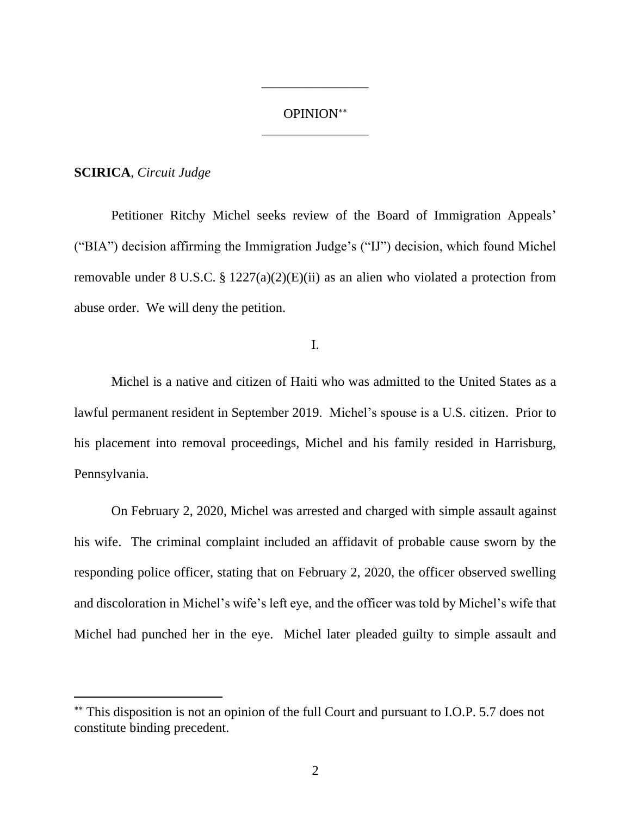# OPINION \_\_\_\_\_\_\_\_\_\_\_\_\_\_\_\_

\_\_\_\_\_\_\_\_\_\_\_\_\_\_\_\_

### **SCIRICA**, *Circuit Judge*

Petitioner Ritchy Michel seeks review of the Board of Immigration Appeals' ("BIA") decision affirming the Immigration Judge's ("IJ") decision, which found Michel removable under 8 U.S.C. § 1227(a)(2)(E)(ii) as an alien who violated a protection from abuse order. We will deny the petition.

I.

Michel is a native and citizen of Haiti who was admitted to the United States as a lawful permanent resident in September 2019. Michel's spouse is a U.S. citizen. Prior to his placement into removal proceedings, Michel and his family resided in Harrisburg, Pennsylvania.

On February 2, 2020, Michel was arrested and charged with simple assault against his wife. The criminal complaint included an affidavit of probable cause sworn by the responding police officer, stating that on February 2, 2020, the officer observed swelling and discoloration in Michel's wife's left eye, and the officer was told by Michel's wife that Michel had punched her in the eye. Michel later pleaded guilty to simple assault and

This disposition is not an opinion of the full Court and pursuant to I.O.P. 5.7 does not constitute binding precedent.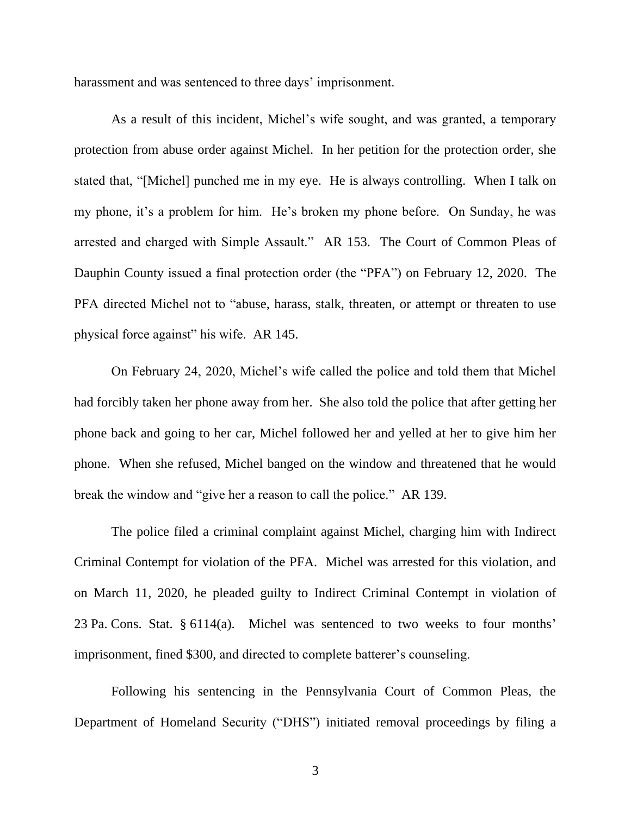harassment and was sentenced to three days' imprisonment.

As a result of this incident, Michel's wife sought, and was granted, a temporary protection from abuse order against Michel. In her petition for the protection order, she stated that, "[Michel] punched me in my eye. He is always controlling. When I talk on my phone, it's a problem for him. He's broken my phone before. On Sunday, he was arrested and charged with Simple Assault." AR 153. The Court of Common Pleas of Dauphin County issued a final protection order (the "PFA") on February 12, 2020. The PFA directed Michel not to "abuse, harass, stalk, threaten, or attempt or threaten to use physical force against" his wife. AR 145.

On February 24, 2020, Michel's wife called the police and told them that Michel had forcibly taken her phone away from her. She also told the police that after getting her phone back and going to her car, Michel followed her and yelled at her to give him her phone. When she refused, Michel banged on the window and threatened that he would break the window and "give her a reason to call the police." AR 139.

The police filed a criminal complaint against Michel, charging him with Indirect Criminal Contempt for violation of the PFA. Michel was arrested for this violation, and on March 11, 2020, he pleaded guilty to Indirect Criminal Contempt in violation of 23 Pa. Cons. Stat. § 6114(a). Michel was sentenced to two weeks to four months' imprisonment, fined \$300, and directed to complete batterer's counseling.

Following his sentencing in the Pennsylvania Court of Common Pleas, the Department of Homeland Security ("DHS") initiated removal proceedings by filing a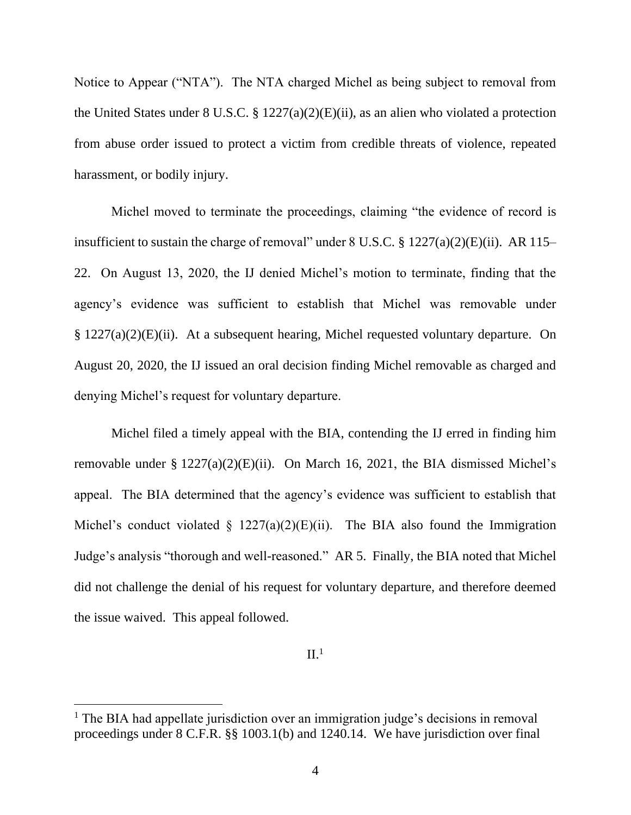Notice to Appear ("NTA"). The NTA charged Michel as being subject to removal from the United States under 8 U.S.C. § 1227(a)(2)(E)(ii), as an alien who violated a protection from abuse order issued to protect a victim from credible threats of violence, repeated harassment, or bodily injury.

Michel moved to terminate the proceedings, claiming "the evidence of record is insufficient to sustain the charge of removal" under  $8 \text{ U.S.C. } §\ 1227(a)(2)(E)(ii)$ . AR 115– 22. On August 13, 2020, the IJ denied Michel's motion to terminate, finding that the agency's evidence was sufficient to establish that Michel was removable under § 1227(a)(2)(E)(ii). At a subsequent hearing, Michel requested voluntary departure. On August 20, 2020, the IJ issued an oral decision finding Michel removable as charged and denying Michel's request for voluntary departure.

Michel filed a timely appeal with the BIA, contending the IJ erred in finding him removable under § 1227(a)(2)(E)(ii). On March 16, 2021, the BIA dismissed Michel's appeal. The BIA determined that the agency's evidence was sufficient to establish that Michel's conduct violated  $\S$  1227(a)(2)(E)(ii). The BIA also found the Immigration Judge's analysis "thorough and well-reasoned." AR 5. Finally, the BIA noted that Michel did not challenge the denial of his request for voluntary departure, and therefore deemed the issue waived. This appeal followed.

 $II.<sup>1</sup>$ 

<sup>&</sup>lt;sup>1</sup> The BIA had appellate jurisdiction over an immigration judge's decisions in removal proceedings under 8 C.F.R. §§ 1003.1(b) and 1240.14. We have jurisdiction over final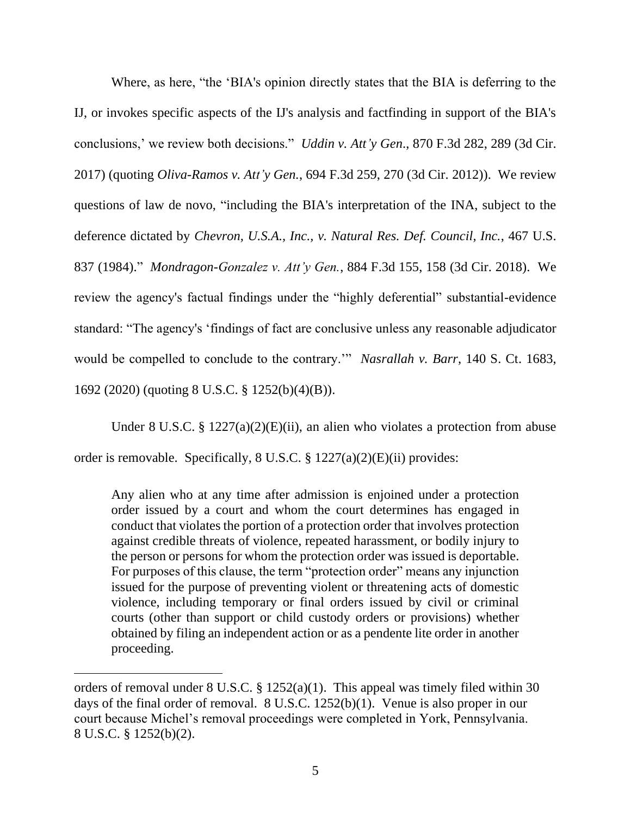Where, as here, "the 'BIA's opinion directly states that the BIA is deferring to the IJ, or invokes specific aspects of the IJ's analysis and factfinding in support of the BIA's conclusions,' we review both decisions." *Uddin v. Att'y Gen*., 870 F.3d 282, 289 (3d Cir. 2017) (quoting *Oliva-Ramos v. Att'y Gen.*, 694 F.3d 259, 270 (3d Cir. 2012)). We review questions of law de novo, "including the BIA's interpretation of the INA, subject to the deference dictated by *Chevron, U.S.A., Inc., v. Natural Res. Def. Council, Inc.*, 467 U.S. 837 (1984)." *Mondragon-Gonzalez v. Att'y Gen.*, 884 F.3d 155, 158 (3d Cir. 2018). We review the agency's factual findings under the "highly deferential" substantial-evidence standard: "The agency's 'findings of fact are conclusive unless any reasonable adjudicator would be compelled to conclude to the contrary.'" *Nasrallah v. Barr*, 140 S. Ct. 1683, 1692 (2020) (quoting 8 U.S.C. § 1252(b)(4)(B)).

Under 8 U.S.C. §  $1227(a)(2)(E)(ii)$ , an alien who violates a protection from abuse order is removable. Specifically, 8 U.S.C. § 1227(a)(2)(E)(ii) provides:

Any alien who at any time after admission is enjoined under a protection order issued by a court and whom the court determines has engaged in conduct that violates the portion of a protection order that involves protection against credible threats of violence, repeated harassment, or bodily injury to the person or persons for whom the protection order was issued is deportable. For purposes of this clause, the term "protection order" means any injunction issued for the purpose of preventing violent or threatening acts of domestic violence, including temporary or final orders issued by civil or criminal courts (other than support or child custody orders or provisions) whether obtained by filing an independent action or as a pendente lite order in another proceeding.

orders of removal under 8 U.S.C. § 1252(a)(1). This appeal was timely filed within 30 days of the final order of removal. 8 U.S.C. 1252(b)(1). Venue is also proper in our court because Michel's removal proceedings were completed in York, Pennsylvania. 8 U.S.C. § 1252(b)(2).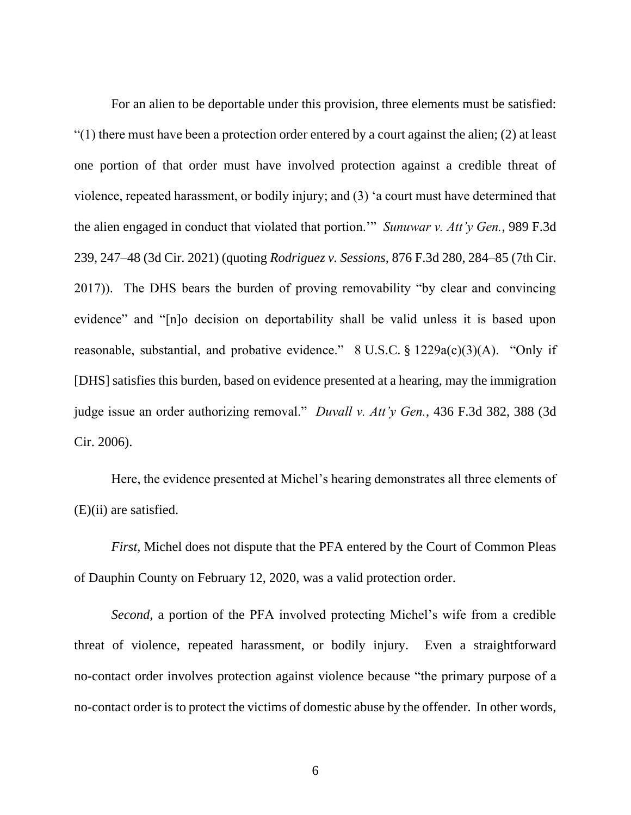For an alien to be deportable under this provision, three elements must be satisfied: " $(1)$  there must have been a protection order entered by a court against the alien;  $(2)$  at least one portion of that order must have involved protection against a credible threat of violence, repeated harassment, or bodily injury; and (3) 'a court must have determined that the alien engaged in conduct that violated that portion.'" *Sunuwar v. Att'y Gen.*, 989 F.3d 239, 247–48 (3d Cir. 2021) (quoting *Rodriguez v. Sessions*, 876 F.3d 280, 284–85 (7th Cir. 2017)). The DHS bears the burden of proving removability "by clear and convincing evidence" and "[n]o decision on deportability shall be valid unless it is based upon reasonable, substantial, and probative evidence." 8 U.S.C. § 1229a(c)(3)(A). "Only if [DHS] satisfies this burden, based on evidence presented at a hearing, may the immigration judge issue an order authorizing removal." *Duvall v. Att'y Gen.*, 436 F.3d 382, 388 (3d Cir. 2006).

Here, the evidence presented at Michel's hearing demonstrates all three elements of (E)(ii) are satisfied.

*First*, Michel does not dispute that the PFA entered by the Court of Common Pleas of Dauphin County on February 12, 2020, was a valid protection order.

*Second*, a portion of the PFA involved protecting Michel's wife from a credible threat of violence, repeated harassment, or bodily injury. Even a straightforward no-contact order involves protection against violence because "the primary purpose of a no-contact order is to protect the victims of domestic abuse by the offender. In other words,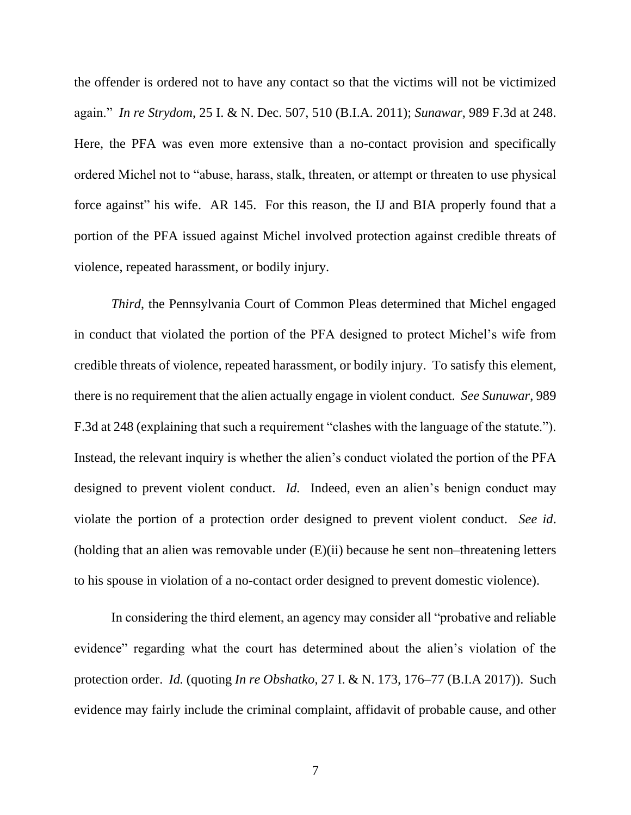the offender is ordered not to have any contact so that the victims will not be victimized again." *In re Strydom*, 25 I. & N. Dec. 507, 510 (B.I.A. 2011); *Sunawar*, 989 F.3d at 248. Here, the PFA was even more extensive than a no-contact provision and specifically ordered Michel not to "abuse, harass, stalk, threaten, or attempt or threaten to use physical force against" his wife. AR 145. For this reason, the IJ and BIA properly found that a portion of the PFA issued against Michel involved protection against credible threats of violence, repeated harassment, or bodily injury.

*Third*, the Pennsylvania Court of Common Pleas determined that Michel engaged in conduct that violated the portion of the PFA designed to protect Michel's wife from credible threats of violence, repeated harassment, or bodily injury. To satisfy this element, there is no requirement that the alien actually engage in violent conduct. *See Sunuwar*, 989 F.3d at 248 (explaining that such a requirement "clashes with the language of the statute."). Instead, the relevant inquiry is whether the alien's conduct violated the portion of the PFA designed to prevent violent conduct. *Id.* Indeed, even an alien's benign conduct may violate the portion of a protection order designed to prevent violent conduct. *See id*. (holding that an alien was removable under (E)(ii) because he sent non–threatening letters to his spouse in violation of a no-contact order designed to prevent domestic violence).

In considering the third element, an agency may consider all "probative and reliable evidence" regarding what the court has determined about the alien's violation of the protection order. *Id.* (quoting *In re Obshatko*, 27 I. & N. 173, 176–77 (B.I.A 2017)). Such evidence may fairly include the criminal complaint, affidavit of probable cause, and other